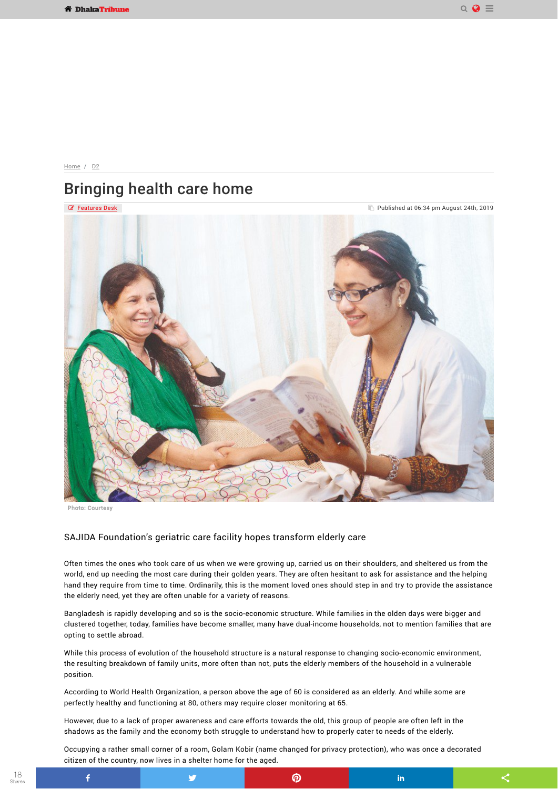$QQ \equiv$ 

 $\leq$ 

in

[Home](https://www.dhakatribune.com/) / D<sub>2</sub>

## Bringing health care home



## SAJIDA Foundation's geriatric care facility hopes transform elderly care

y

Often times the ones who took care of us when we were growing up, carried us on their shoulders, and sheltered us from the world, end up needing the most care during their golden years. They are often hesitant to ask for assistance and the helping hand they require from time to time. Ordinarily, this is the moment loved ones should step in and try to provide the assistance the elderly need, yet they are often unable for a variety of reasons.

Bangladesh is rapidly developing and so is the socio-economic structure. While families in the olden days were bigger and clustered together, today, families have become smaller, many have dual-income households, not to mention families that are opting to settle abroad.

While this process of evolution of the household structure is a natural response to changing socio-economic environment, the resulting breakdown of family units, more often than not, puts the elderly members of the household in a vulnerable position.

According to World Health Organization, a person above the age of 60 is considered as an elderly. And while some are perfectly healthy and functioning at 80, others may require closer monitoring at 65.

However, due to a lack of proper awareness and care efforts towards the old, this group of people are often left in the shadows as the family and the economy both struggle to understand how to properly cater to needs of the elderly.

Occupying a rather small corner of a room, Golam Kobir (name changed for privacy protection), who was once a decorated citizen of the country, now lives in a shelter home for the aged.

 $\odot$ 

Photo: Courtesy

 $\ddot{\mathbf{f}}$ 

18 Shares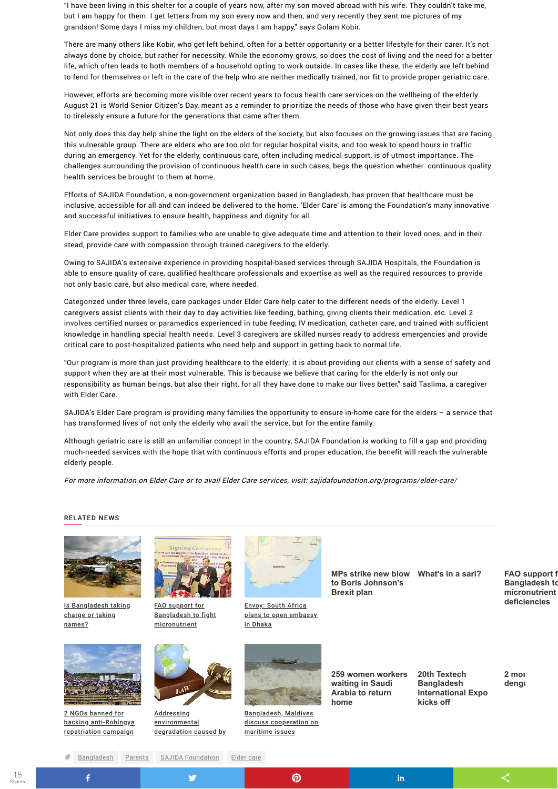"I have been living in this shelter for a couple of years now, after my son moved abroad with his wife. They couldn't take me, but I am happy for them. I get letters from my son every now and then, and very recently they sent me pictures of my grandson! Some days I miss my children, but most days I am happy," says Golam Kobir.

There are many others like Kobir, who get left behind, often for a better opportunity or a better lifestyle for their carer. It's not always done by choice, but rather for necessity. While the economy grows, so does the cost of living and the need for a better life, which often leads to both members of a household opting to work outside. In cases like these, the elderly are left behind to fend for themselves or left in the care of the help who are neither medically trained, nor fit to provide proper geriatric care.

However, efforts are becoming more visible over recent years to focus health care services on the wellbeing of the elderly. August 21 is World Senior Citizen's Day, meant as a reminder to prioritize the needs of those who have given their best years to tirelessly ensure a future for the generations that came after them.

Not only does this day help shine the light on the elders of the society, but also focuses on the growing issues that are facing this vulnerable group. There are elders who are too old for regular hospital visits, and too weak to spend hours in traffic during an emergency. Yet for the elderly, continuous care, often including medical support, is of utmost importance. The challenges surrounding the provision of continuous health care in such cases, begs the question whether continuous quality health services be brought to them at home.

Efforts of SAJIDA Foundation, a non-government organization based in Bangladesh, has proven that healthcare must be inclusive, accessible for all and can indeed be delivered to the home. 'Elder Care' is among the Foundation's many innovative and successful initiatives to ensure health, happiness and dignity for all.

Elder Care provides support to families who are unable to give adequate time and attention to their loved ones, and in their stead, provide care with compassion through trained caregivers to the elderly.

> **Australia to play [important role in](https://www.dhakatribune.com/bangladesh/foreign-affairs/2019/09/04/bangladesh-maldives-discuss-cooperation-on-maritime-issues) the contract of the contract of the contract of the contract of the contract of the contract of the contract of the contract of the contract of the contract of the contract of the contract of the contrac Rohingya repart**

Owing to SAJIDA's extensive experience in providing hospital-based services through SAJIDA Hospitals, the Foundation is able to ensure quality of care, qualified healthcare professionals and expertise as well as the required resources to provide not only basic care, but also medical care, where needed.

> **Addressing** [environmental](https://www.dhakatribune.com/tribune-supplements/tribune-climate/2019/09/04/addressing-environmental-degradation-caused-by-rohingya-influxes-in-light-of-international-environmental-law) degradation caused by

> > y

Categorized under three levels, care packages under Elder Care help cater to the different needs of the elderly. Level 1 caregivers assist clients with their day to day activities like feeding, bathing, giving clients their medication, etc. Level 2 involves certified nurses or paramedics experienced in tube feeding, IV medication, catheter care, and trained with sufficient knowledge in handling special health needs. Level 3 caregivers are skilled nurses ready to address emergencies and provide critical care to post-hospitalized patients who need help and support in getting back to normal life.

"Our program is more than just providing healthcare to the elderly; it is about providing our clients with a sense of safety and support when they are at their most vulnerable. This is because we believe that caring for the elderly is not only our responsibility as human beings, but also their right, for all they have done to make our lives better," said Taslima, a caregiver with Elder Care.

SAJIDA's Elder Care program is providing many families the opportunity to ensure in-home care for the elders – a service that has transformed lives of not only the elderly who avail the service, but for the entire family.

Although geriatric care is still an unfamiliar concept in the country, SAJIDA Foundation is working to fill a gap and providing much-needed services with the hope that with continuous efforts and proper education, the benefit will reach the vulnerable elderly people.

For more information on Elder Care or to avail Elder Care services, visit: sajidafoundation.org/programs/elder-care/



**MPs strike new blow What's in a sari? FAO support f to Boris Johnson's Brexit plan**

in

**Bangladesh to micronutrient**

**deficiencies**

**259 women workers waiting in Saudi Arabia to return home**

**20th Textech Bangladesh International Expo kicks off**

2 mor deng<sub>u</sub>

 $\boldsymbol{\le}$ 

## RELATED NEWS





| Is Bangladesh taking | <b>FAO</b> support for  |
|----------------------|-------------------------|
| charge or taking     | <b>Bangladesh to fi</b> |
| names?               | micronutrient           |

| <u>support for</u> | <b>Envoy: South Africa</b> |
|--------------------|----------------------------|
| ladesh to fight    | plans to open embassy      |
| nutrient>          | in Dhaka                   |





2 NGOs banned for backing [anti-Rohingya](https://www.dhakatribune.com/bangladesh/rohingya-crisis/2019/09/04/bangladesh-bans-two-ingos-for-financing-running-anti-repatriation-campaign-among-rohingyas) repatriation campaign

 $\bullet$  .

 $\ddot{\mathbf{f}}$ 

[Bangladesh,](https://www.dhakatribune.com/bangladesh/foreign-affairs/2019/09/04/bangladesh-maldives-discuss-cooperation-on-maritime-issues) Maldives discuss cooperation on maritime issues

 $\circledR$ 

[Bangladesh](https://www.dhakatribune.com/hashtag/bangaldesh) [Parents](https://www.dhakatribune.com/hashtag/parents) SAJIDA [Foundation](https://www.dhakatribune.com/hashtag/sajida-foundation) [Elder](https://www.dhakatribune.com/hashtag/elder-care) care

18 Shares